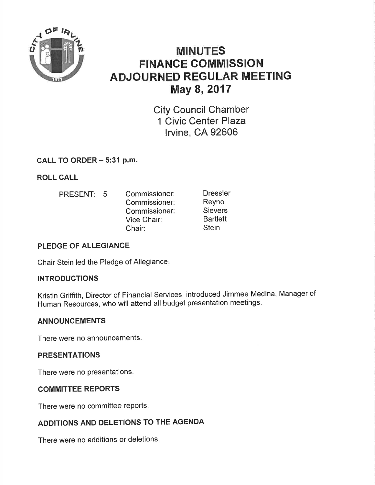

# MINUTES **FINANCE COMMISSION** ADJOURNED REGULAR MEETING May 8, 2017

City Council Chamber 1 Civic Center Plaza lrvine, CA 92606

# CALL TO ORDER - 5:31 p.m.

ROLL CALL

PRESENT: 5 Commissioner: Commissioner: Commissioner: Vice Chair:

Dressler Reyno Sievers **Bartlett Stein** 

# PLEDGE OF ALLEGIANCE

Chair Stein led the Pledge of Allegiance

Chair:

# INTRODUCTIONS

Kristin Griffith, Director of Financial Services, introduced Jimmee Medina, Manager of Human Resources, who will attend all budget presentation meetings.

# ANNOUNCEMENTS

There were no announcements.

# PRESENTATIONS

There were no presentations.

# COMMITTEE REPORTS

There were no committee reports.

# ADDITIONS AND DELETIONS TO THE AGENDA

There were no additions or deletions.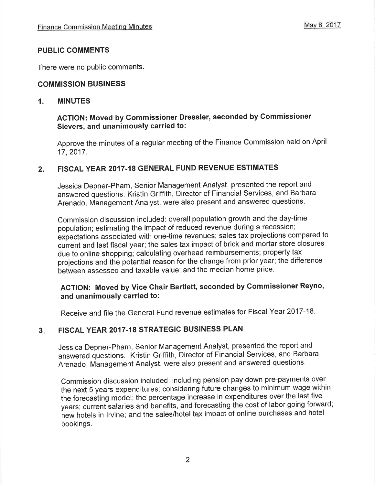#### PUBLIC COMMENTS

There were no public comments.

#### COMMISSION BUSINESS

#### 1. MINUTES

# AGTION: Moved by Gommissioner Dressler, seconded by Commissioner Sievers, and unanimously carried to:

Approve the minutes of a regular meeting of the Finance Commission held on April 17,2017.

# 2. FISCAL YEAR 2017.18 GENERAL FUND REVENUE ESTIMATES

Jessica Depner-Pham, Senior Management Analyst, presented the report and answered questions. Kristin Griffith, Director of Financial Services, and Barbara Arenado, Management Analyst, were also present and answered questions.

Commission discussion included: overall population growth and the day-time population; estimating the impact of reduced revenue during a recession; expectations associated with one-time revenues; sales tax projections compared to current and last fiscal year; the sales tax impact of brick and mortar store closures due to online shopping; calculating overhead reimbursements; property tax projections and the potential reason for the change from prior year; the difference between assessed and taxable value; and the median home price.

# ACTION: Moved by Vice Chair Bartlett, seconded by Commissioner Reyno, and unanimously carried to:

Receive and file the General Fund revenue estimates for Fiscal Year 2017-18.

#### FISCAL YEAR 2017.18 STRATEGIC BUSINESS PLAN 3

Jessica Depner-Pham, Senior Management Analyst, presented the report and answered questions. Kristin Griffith, Director of Financial Services, and Barbara Arenado, Management Analyst, were also present and answered questions.

Commission discussion included: including pension pay down pre-payments over the next 5 years expenditures; considering future changes to minimum wage within the forecasting model; the percentage increase in expenditures over the last five years; current salaries and benefits, and forecasting the cost of labor going forward; ñew hotels in lrvine; and the sales/hotel tax impact of online purchases and hotel bookings.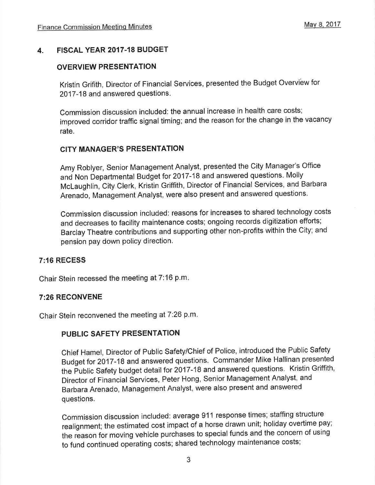#### 4. FISCAL YEAR 2017-18 BUDGET

#### OVERVIEW PRESENTATION

Kristin Grifith, Director of Financial Services, presented the Budget Overviêw for 2017-18 and answered questions

Commission discussion included: the annual increase in health care costs; improved corridor traffic signal timing; and the reason for the change in the vacancy rate.

#### CITY MANAGER'S PRESENTATION

Amy Roblyer, Senior Management Analyst, presented the City Manager's Office and Non Departmental Budget for 2017-18 and answered questions. Molly Mclaughlin, City Clerk, Kristin Griffith, Director of Financial Services, and Barbara Arenado, Management Analyst, were also present and answered questions.

Commission discussion included: reasons for increases to shared technology costs and decreases to facility maintenance costs; ongoing records digitization efforts; Barclay Theatre contributions and supporting other non-profits within the City; and pension pay down policy direction.

#### 7:16 RECESS

Chair Stein recessed the meeting at  $7:16$  p.m.

#### 7:26 RECONVENE

Chair Stein reconvened the meeting at 7:26 p.m.

#### PUBLIG SAFETY PRESENTATION

Chief Hamel, Director of Public Safety/Chief of Police, introduced the Public Safety Budget for 2017-18 and answered questions. Commander Mike Hallinan presented the public Safety budget detail for 2017-18 and answered questions. Kristin Griffith, Director of Financial Services, Peter Hong, Senior Management Analyst, and Barbara Arenado, Management Analyst, were also present and answered questions.

Commission discussion included: average 911 response times; staffing structure realignment; the estimated cost impact of a horse drawn unit; holiday overtime pay; the reason for moving vehicle purchases to special funds and the concern of using to fund continued operating costs; shared technology maintenance costs;